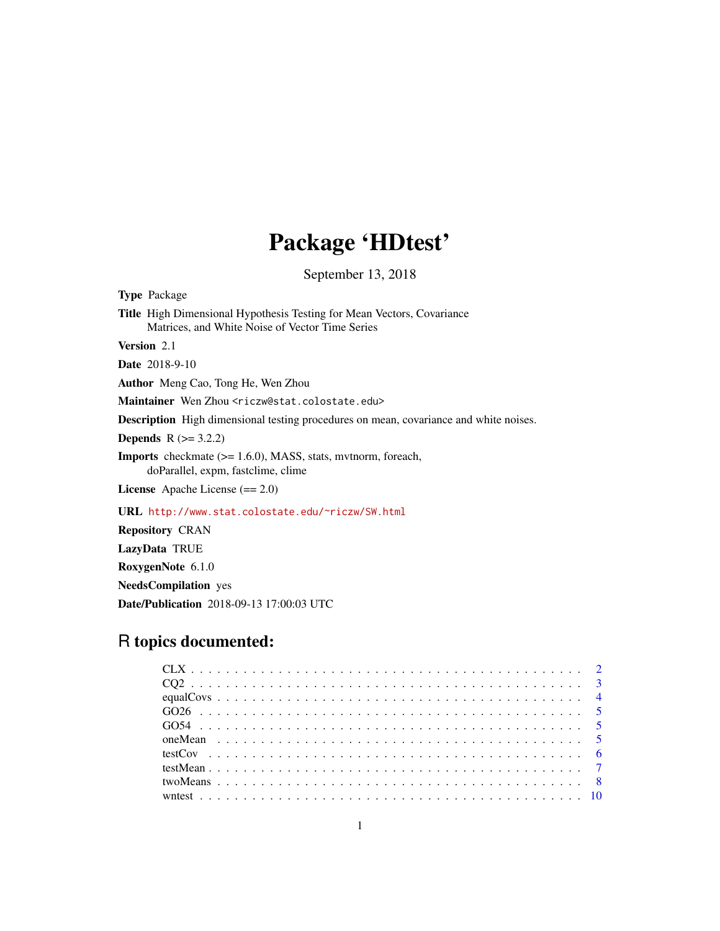## Package 'HDtest'

September 13, 2018

Type Package Title High Dimensional Hypothesis Testing for Mean Vectors, Covariance Matrices, and White Noise of Vector Time Series Version 2.1 Date 2018-9-10 Author Meng Cao, Tong He, Wen Zhou Maintainer Wen Zhou <riczw@stat.colostate.edu> Description High dimensional testing procedures on mean, covariance and white noises. **Depends**  $R$  ( $> = 3.2.2$ ) Imports checkmate (>= 1.6.0), MASS, stats, mvtnorm, foreach, doParallel, expm, fastclime, clime License Apache License (== 2.0) URL <http://www.stat.colostate.edu/~riczw/SW.html> Repository CRAN LazyData TRUE RoxygenNote 6.1.0

NeedsCompilation yes

Date/Publication 2018-09-13 17:00:03 UTC

### R topics documented: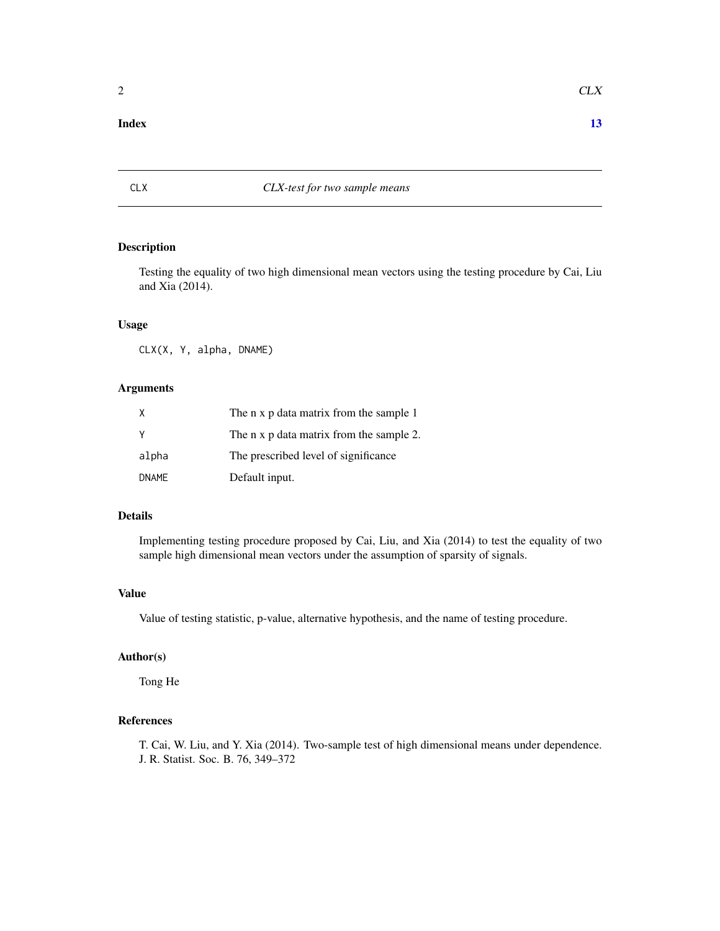#### <span id="page-1-0"></span>**Index** [13](#page-12-0)

#### CLX *CLX-test for two sample means*

#### Description

Testing the equality of two high dimensional mean vectors using the testing procedure by Cai, Liu and Xia (2014).

#### Usage

CLX(X, Y, alpha, DNAME)

#### Arguments

| X            | The n x p data matrix from the sample 1  |
|--------------|------------------------------------------|
| <b>Y</b>     | The n x p data matrix from the sample 2. |
| alpha        | The prescribed level of significance     |
| <b>DNAME</b> | Default input.                           |

#### Details

Implementing testing procedure proposed by Cai, Liu, and Xia (2014) to test the equality of two sample high dimensional mean vectors under the assumption of sparsity of signals.

#### Value

Value of testing statistic, p-value, alternative hypothesis, and the name of testing procedure.

#### Author(s)

Tong He

#### References

T. Cai, W. Liu, and Y. Xia (2014). Two-sample test of high dimensional means under dependence. J. R. Statist. Soc. B. 76, 349–372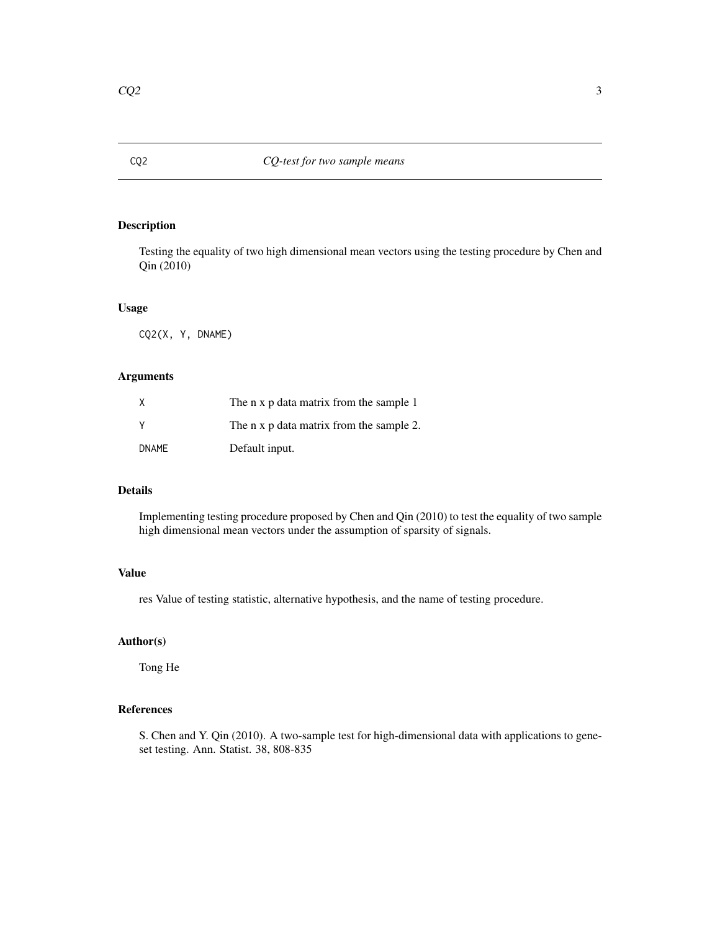<span id="page-2-0"></span>

#### Description

Testing the equality of two high dimensional mean vectors using the testing procedure by Chen and Qin (2010)

#### Usage

CQ2(X, Y, DNAME)

#### Arguments

| X            | The n x p data matrix from the sample 1  |
|--------------|------------------------------------------|
| V            | The n x p data matrix from the sample 2. |
| <b>DNAME</b> | Default input.                           |

#### Details

Implementing testing procedure proposed by Chen and Qin (2010) to test the equality of two sample high dimensional mean vectors under the assumption of sparsity of signals.

#### Value

res Value of testing statistic, alternative hypothesis, and the name of testing procedure.

#### Author(s)

Tong He

#### References

S. Chen and Y. Qin (2010). A two-sample test for high-dimensional data with applications to geneset testing. Ann. Statist. 38, 808-835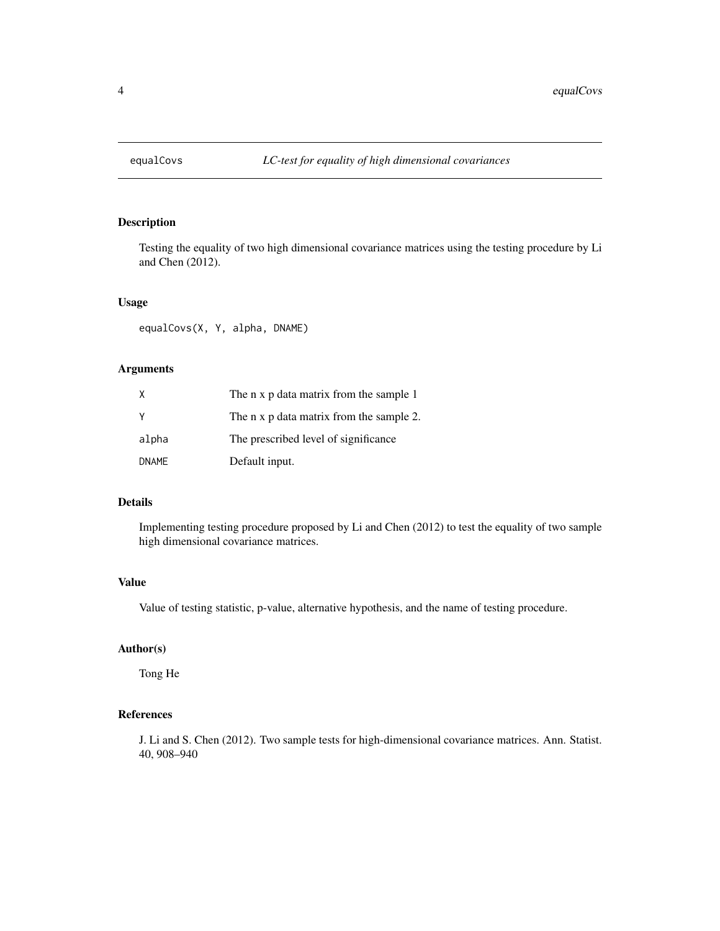<span id="page-3-0"></span>

#### Description

Testing the equality of two high dimensional covariance matrices using the testing procedure by Li and Chen (2012).

#### Usage

equalCovs(X, Y, alpha, DNAME)

#### Arguments

| Χ            | The n x p data matrix from the sample 1  |
|--------------|------------------------------------------|
| Υ            | The n x p data matrix from the sample 2. |
| alpha        | The prescribed level of significance     |
| <b>DNAME</b> | Default input.                           |

#### Details

Implementing testing procedure proposed by Li and Chen (2012) to test the equality of two sample high dimensional covariance matrices.

#### Value

Value of testing statistic, p-value, alternative hypothesis, and the name of testing procedure.

#### Author(s)

Tong He

#### References

J. Li and S. Chen (2012). Two sample tests for high-dimensional covariance matrices. Ann. Statist. 40, 908–940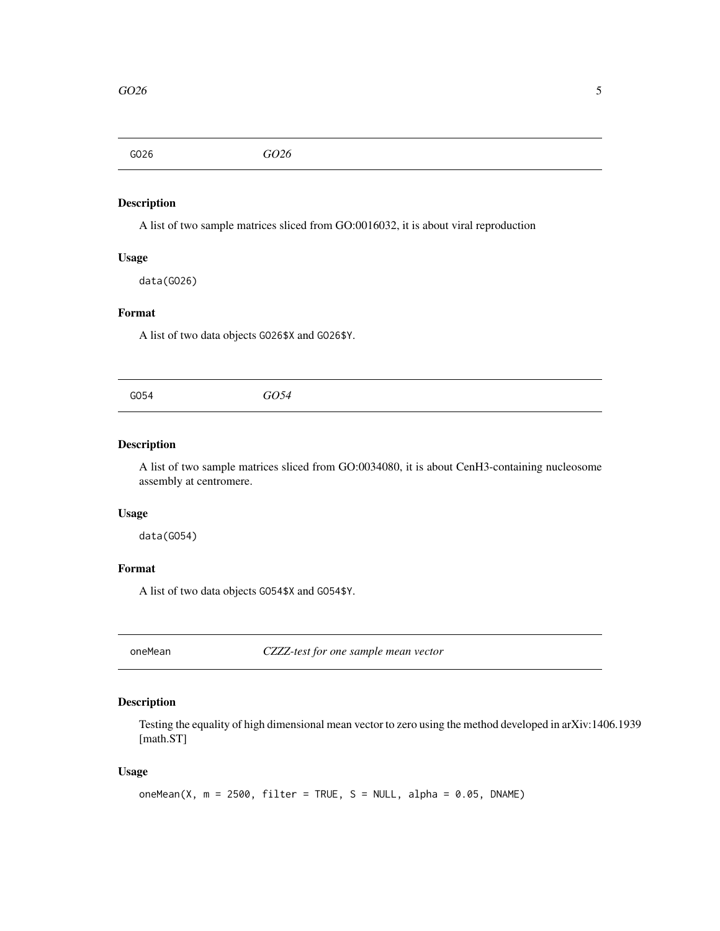<span id="page-4-0"></span>GO26 *GO26*

#### Description

A list of two sample matrices sliced from GO:0016032, it is about viral reproduction

#### Usage

data(GO26)

#### Format

A list of two data objects GO26\$X and GO26\$Y.

GO54 *GO54*

#### Description

A list of two sample matrices sliced from GO:0034080, it is about CenH3-containing nucleosome assembly at centromere.

#### Usage

data(GO54)

#### Format

A list of two data objects GO54\$X and GO54\$Y.

oneMean *CZZZ-test for one sample mean vector*

#### Description

Testing the equality of high dimensional mean vector to zero using the method developed in arXiv:1406.1939 [math.ST]

#### Usage

```
oneMean(X, m = 2500, filter = TRUE, S = NULL, alpha = 0.05, DNAME)
```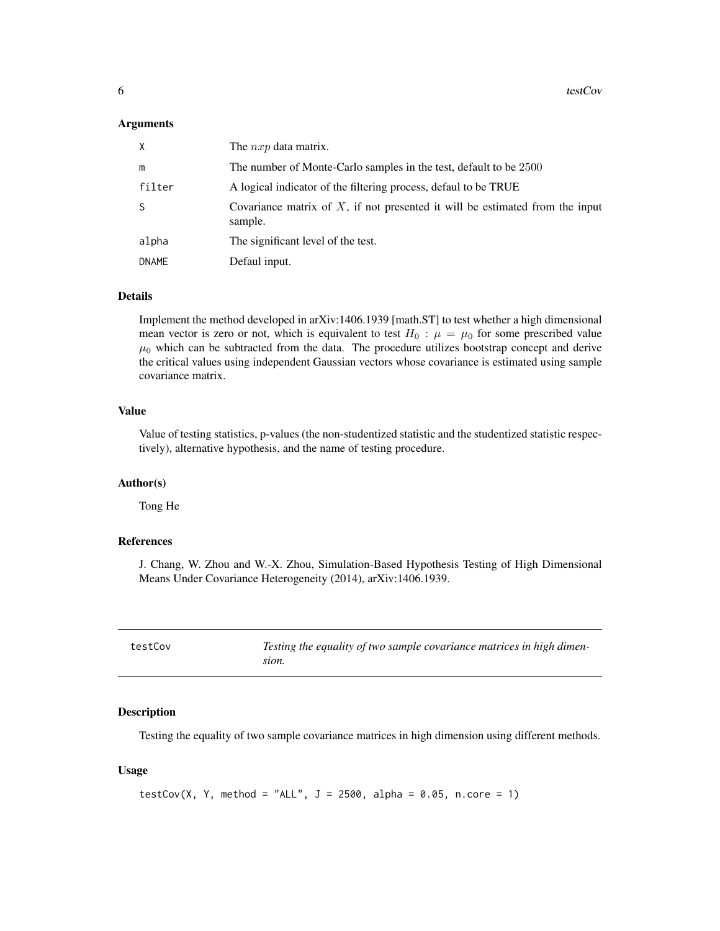#### <span id="page-5-0"></span>**Arguments**

| χ            | The $nxp$ data matrix.                                                                     |
|--------------|--------------------------------------------------------------------------------------------|
| m            | The number of Monte-Carlo samples in the test, default to be 2500                          |
| filter       | A logical indicator of the filtering process, defaul to be TRUE                            |
| S            | Covariance matrix of $X$ , if not presented it will be estimated from the input<br>sample. |
| alpha        | The significant level of the test.                                                         |
| <b>DNAME</b> | Defaul input.                                                                              |

#### Details

Implement the method developed in arXiv:1406.1939 [math.ST] to test whether a high dimensional mean vector is zero or not, which is equivalent to test  $H_0$ :  $\mu = \mu_0$  for some prescribed value  $\mu_0$  which can be subtracted from the data. The procedure utilizes bootstrap concept and derive the critical values using independent Gaussian vectors whose covariance is estimated using sample covariance matrix.

#### Value

Value of testing statistics, p-values (the non-studentized statistic and the studentized statistic respectively), alternative hypothesis, and the name of testing procedure.

#### Author(s)

Tong He

#### References

J. Chang, W. Zhou and W.-X. Zhou, Simulation-Based Hypothesis Testing of High Dimensional Means Under Covariance Heterogeneity (2014), arXiv:1406.1939.

| testCov | Testing the equality of two sample covariance matrices in high dimen- |
|---------|-----------------------------------------------------------------------|
|         | sion.                                                                 |

#### Description

Testing the equality of two sample covariance matrices in high dimension using different methods.

#### Usage

```
testCov(X, Y, method = "ALL", J = 2500, alpha = 0.05, n.core = 1)
```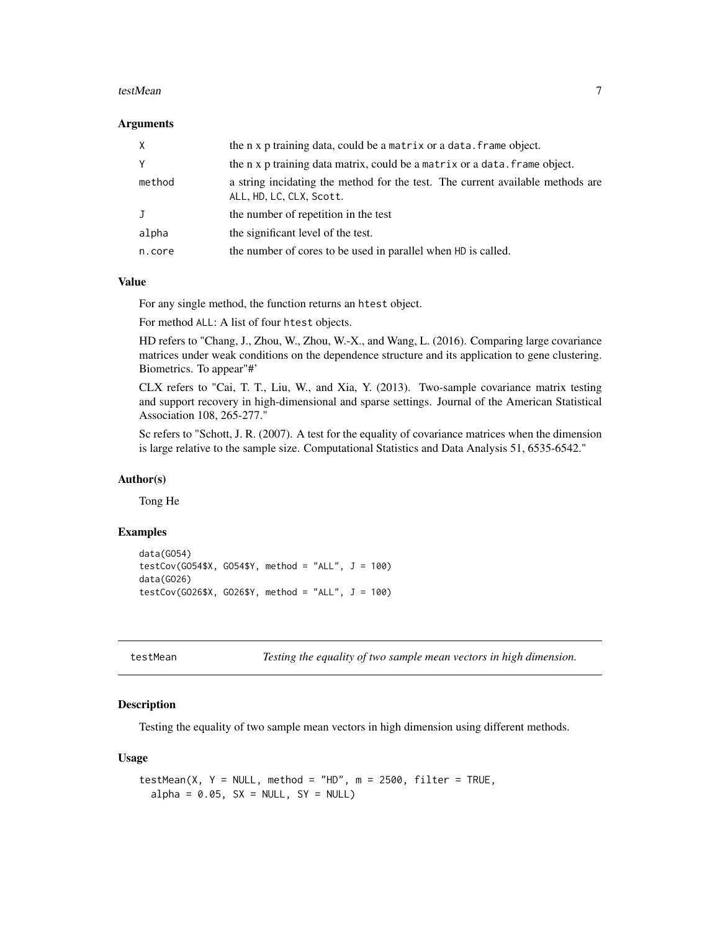#### <span id="page-6-0"></span>testMean 7

#### **Arguments**

| $\times$ | the n x p training data, could be a matrix or a data. frame object.                                        |
|----------|------------------------------------------------------------------------------------------------------------|
| Y        | the n x p training data matrix, could be a matrix or a data. Frame object.                                 |
| method   | a string incidating the method for the test. The current available methods are<br>ALL, HD, LC, CLX, Scott. |
| J        | the number of repetition in the test                                                                       |
| alpha    | the significant level of the test.                                                                         |
| n.core   | the number of cores to be used in parallel when HD is called.                                              |

#### Value

For any single method, the function returns an htest object.

For method ALL: A list of four htest objects.

HD refers to "Chang, J., Zhou, W., Zhou, W.-X., and Wang, L. (2016). Comparing large covariance matrices under weak conditions on the dependence structure and its application to gene clustering. Biometrics. To appear"#'

CLX refers to "Cai, T. T., Liu, W., and Xia, Y. (2013). Two-sample covariance matrix testing and support recovery in high-dimensional and sparse settings. Journal of the American Statistical Association 108, 265-277."

Sc refers to "Schott, J. R. (2007). A test for the equality of covariance matrices when the dimension is large relative to the sample size. Computational Statistics and Data Analysis 51, 6535-6542."

#### Author(s)

Tong He

#### Examples

```
data(GO54)
testCov(G054$X, G054$Y, method = "ALL", J = 100)
data(GO26)
testCov(GO26$X, GO26$Y, method = "ALL", J = 100)
```
testMean *Testing the equality of two sample mean vectors in high dimension.*

#### **Description**

Testing the equality of two sample mean vectors in high dimension using different methods.

#### Usage

```
testMean(X, Y = NULL, method = "HD", m = 2500, filter = TRUE,
  alpha = 0.05, SX = NULL, SY = NULL
```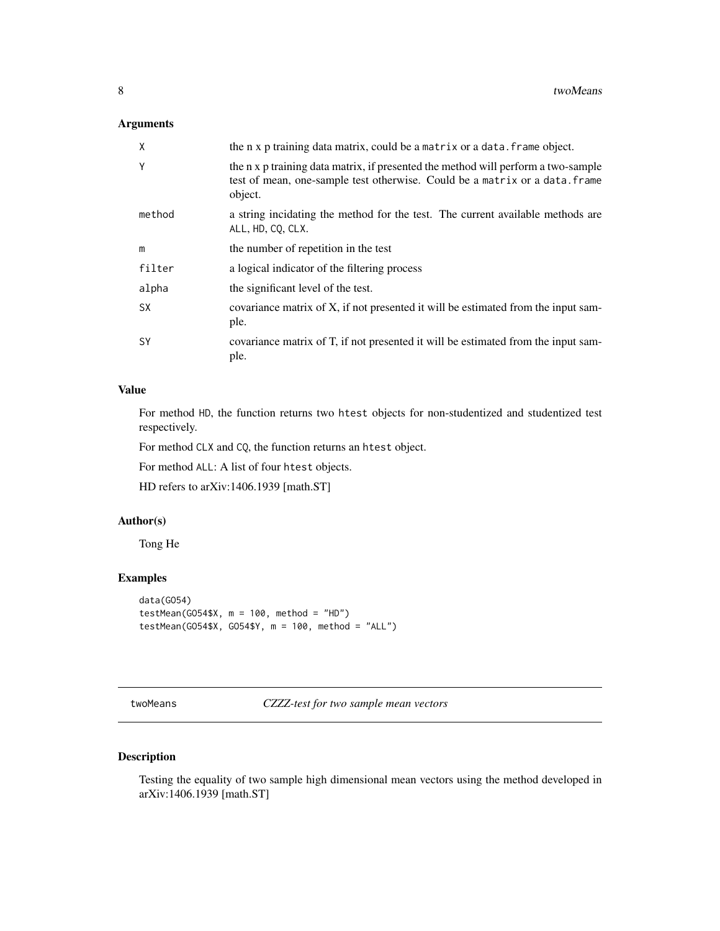#### <span id="page-7-0"></span>Arguments

| Χ         | the n x p training data matrix, could be a matrix or a data. frame object.                                                                                                  |
|-----------|-----------------------------------------------------------------------------------------------------------------------------------------------------------------------------|
| Υ         | the n x p training data matrix, if presented the method will perform a two-sample<br>test of mean, one-sample test otherwise. Could be a matrix or a data. frame<br>object. |
| method    | a string incidating the method for the test. The current available methods are<br>ALL, HD, CQ, CLX.                                                                         |
| m         | the number of repetition in the test                                                                                                                                        |
| filter    | a logical indicator of the filtering process                                                                                                                                |
| alpha     | the significant level of the test.                                                                                                                                          |
| <b>SX</b> | covariance matrix of X, if not presented it will be estimated from the input sam-<br>ple.                                                                                   |
| SY        | covariance matrix of T, if not presented it will be estimated from the input sam-<br>ple.                                                                                   |

#### Value

For method HD, the function returns two htest objects for non-studentized and studentized test respectively.

For method CLX and CQ, the function returns an htest object.

For method ALL: A list of four htest objects.

HD refers to arXiv:1406.1939 [math.ST]

#### Author(s)

Tong He

#### Examples

```
data(GO54)
testMean(GO54$X, m = 100, method = "HD")
testMean(GO54$X, GO54$Y, m = 100, method = "ALL")
```
twoMeans *CZZZ-test for two sample mean vectors*

#### Description

Testing the equality of two sample high dimensional mean vectors using the method developed in arXiv:1406.1939 [math.ST]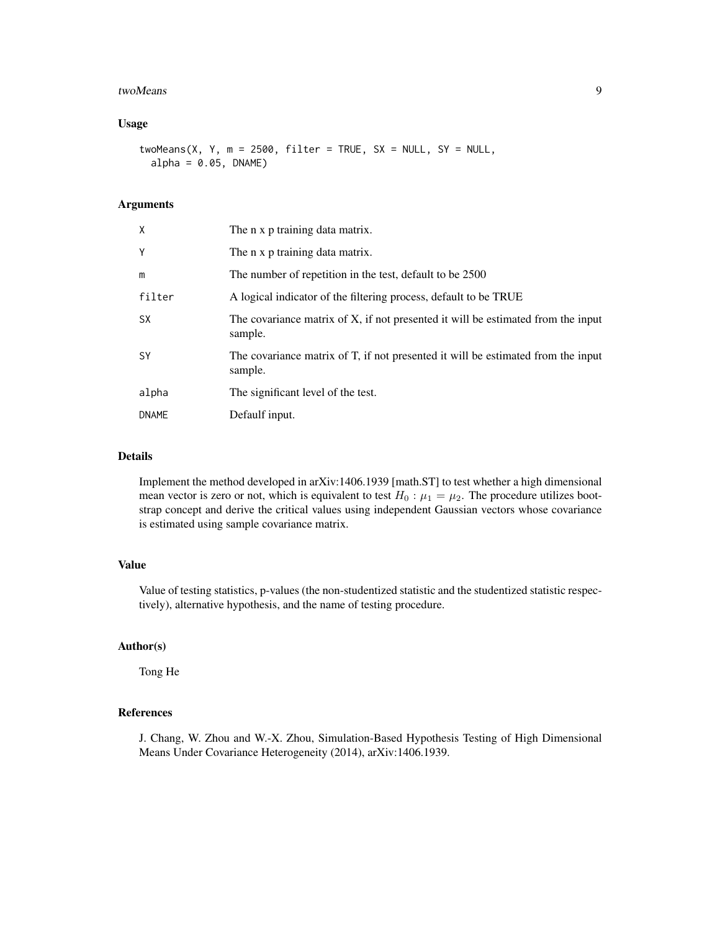#### twoMeans 9

#### Usage

twoMeans(X, Y, m = 2500, filter = TRUE,  $SX = NULL$ ,  $SY = NULL$ ,  $alpha = 0.05$ ,  $DNAME$ )

#### Arguments

| X            | The n x p training data matrix.                                                             |
|--------------|---------------------------------------------------------------------------------------------|
| Y            | The n x p training data matrix.                                                             |
| m            | The number of repetition in the test, default to be 2500                                    |
| filter       | A logical indicator of the filtering process, default to be TRUE                            |
| <b>SX</b>    | The covariance matrix of X, if not presented it will be estimated from the input<br>sample. |
| <b>SY</b>    | The covariance matrix of T, if not presented it will be estimated from the input<br>sample. |
| alpha        | The significant level of the test.                                                          |
| <b>DNAME</b> | Defaulf input.                                                                              |

#### Details

Implement the method developed in arXiv:1406.1939 [math.ST] to test whether a high dimensional mean vector is zero or not, which is equivalent to test  $H_0$ :  $\mu_1 = \mu_2$ . The procedure utilizes bootstrap concept and derive the critical values using independent Gaussian vectors whose covariance is estimated using sample covariance matrix.

#### Value

Value of testing statistics, p-values (the non-studentized statistic and the studentized statistic respectively), alternative hypothesis, and the name of testing procedure.

#### Author(s)

Tong He

#### References

J. Chang, W. Zhou and W.-X. Zhou, Simulation-Based Hypothesis Testing of High Dimensional Means Under Covariance Heterogeneity (2014), arXiv:1406.1939.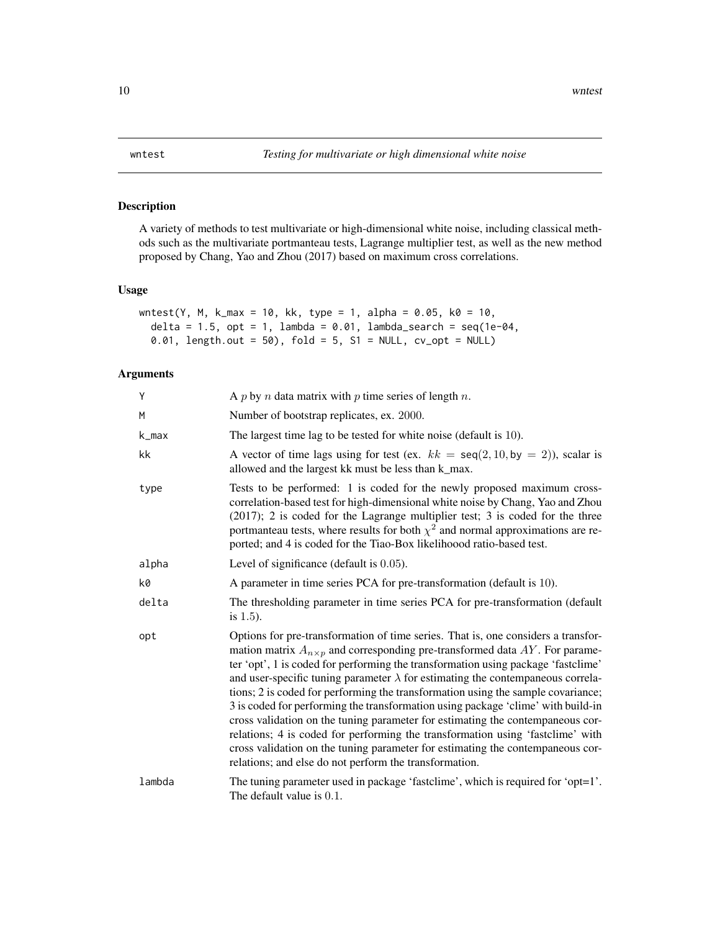#### Description

A variety of methods to test multivariate or high-dimensional white noise, including classical methods such as the multivariate portmanteau tests, Lagrange multiplier test, as well as the new method proposed by Chang, Yao and Zhou (2017) based on maximum cross correlations.

#### Usage

```
wntest(Y, M, k_max = 10, kk, type = 1, alpha = 0.05, k0 = 10,
 delta = 1.5, opt = 1, lambda = 0.01, lambda_search = seq(1e-04,
 0.01, length.out = 50), fold = 5, S1 = NULL, cv_opt = NULL)
```
#### Arguments

| Υ      | A p by n data matrix with p time series of length n.                                                                                                                                                                                                                                                                                                                                                                                                                                                                                                                                                                                                                                                                                                                                                                                              |
|--------|---------------------------------------------------------------------------------------------------------------------------------------------------------------------------------------------------------------------------------------------------------------------------------------------------------------------------------------------------------------------------------------------------------------------------------------------------------------------------------------------------------------------------------------------------------------------------------------------------------------------------------------------------------------------------------------------------------------------------------------------------------------------------------------------------------------------------------------------------|
| M      | Number of bootstrap replicates, ex. 2000.                                                                                                                                                                                                                                                                                                                                                                                                                                                                                                                                                                                                                                                                                                                                                                                                         |
| k_max  | The largest time lag to be tested for white noise (default is 10).                                                                                                                                                                                                                                                                                                                                                                                                                                                                                                                                                                                                                                                                                                                                                                                |
| kk     | A vector of time lags using for test (ex. $kk = \text{seq}(2, 10, \text{by} = 2)$ ), scalar is<br>allowed and the largest kk must be less than k_max.                                                                                                                                                                                                                                                                                                                                                                                                                                                                                                                                                                                                                                                                                             |
| type   | Tests to be performed: 1 is coded for the newly proposed maximum cross-<br>correlation-based test for high-dimensional white noise by Chang, Yao and Zhou<br>$(2017)$ ; 2 is coded for the Lagrange multiplier test; 3 is coded for the three<br>portmanteau tests, where results for both $\chi^2$ and normal approximations are re-<br>ported; and 4 is coded for the Tiao-Box likelihoood ratio-based test.                                                                                                                                                                                                                                                                                                                                                                                                                                    |
| alpha  | Level of significance (default is $0.05$ ).                                                                                                                                                                                                                                                                                                                                                                                                                                                                                                                                                                                                                                                                                                                                                                                                       |
| k0     | A parameter in time series PCA for pre-transformation (default is 10).                                                                                                                                                                                                                                                                                                                                                                                                                                                                                                                                                                                                                                                                                                                                                                            |
| delta  | The thresholding parameter in time series PCA for pre-transformation (default<br>is $1.5$ ).                                                                                                                                                                                                                                                                                                                                                                                                                                                                                                                                                                                                                                                                                                                                                      |
| opt    | Options for pre-transformation of time series. That is, one considers a transfor-<br>mation matrix $A_{n \times p}$ and corresponding pre-transformed data AY. For parame-<br>ter 'opt', 1 is coded for performing the transformation using package 'fastclime'<br>and user-specific tuning parameter $\lambda$ for estimating the contempaneous correla-<br>tions; 2 is coded for performing the transformation using the sample covariance;<br>3 is coded for performing the transformation using package 'clime' with build-in<br>cross validation on the tuning parameter for estimating the contempaneous cor-<br>relations; 4 is coded for performing the transformation using 'fastclime' with<br>cross validation on the tuning parameter for estimating the contempaneous cor-<br>relations; and else do not perform the transformation. |
| lambda | The tuning parameter used in package 'fastclime', which is required for 'opt=1'.<br>The default value is 0.1.                                                                                                                                                                                                                                                                                                                                                                                                                                                                                                                                                                                                                                                                                                                                     |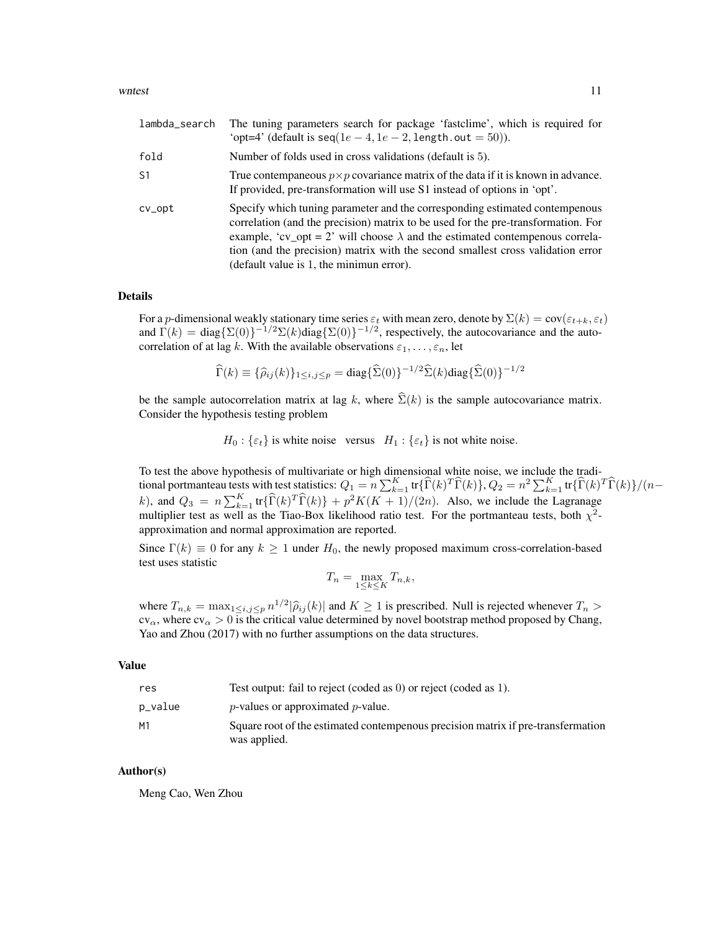#### wntest 11

| lambda_search  | The tuning parameters search for package 'fastclime', which is required for<br>'opt=4' (default is $\text{seq}(1e-4, 1e-2, \text{length.out} = 50)$ ).                                                                                                                                                                                                                                 |
|----------------|----------------------------------------------------------------------------------------------------------------------------------------------------------------------------------------------------------------------------------------------------------------------------------------------------------------------------------------------------------------------------------------|
| fold           | Number of folds used in cross validations (default is 5).                                                                                                                                                                                                                                                                                                                              |
| S <sub>1</sub> | True contempaneous $p \times p$ covariance matrix of the data if it is known in advance.<br>If provided, pre-transformation will use S1 instead of options in 'opt'.                                                                                                                                                                                                                   |
| $cv$ opt       | Specify which tuning parameter and the corresponding estimated contempenous<br>correlation (and the precision) matrix to be used for the pre-transformation. For<br>example, 'cv_opt = 2' will choose $\lambda$ and the estimated contempenous correla-<br>tion (and the precision) matrix with the second smallest cross validation error<br>(default value is 1, the minimun error). |

#### Details

For a p-dimensional weakly stationary time series  $\varepsilon_t$  with mean zero, denote by  $\Sigma(k) = \text{cov}(\varepsilon_{t+k}, \varepsilon_t)$ and  $\Gamma(k) = \text{diag}\{\Sigma(0)\}^{-1/2}\Sigma(k)\text{diag}\{\Sigma(0)\}^{-1/2}$ , respectively, the autocovariance and the autocorrelation of at lag k. With the available observations  $\varepsilon_1, \ldots, \varepsilon_n$ , let

$$
\widehat{\Gamma}(k) \equiv \{\widehat{\rho}_{ij}(k)\}_{1 \le i,j \le p} = \text{diag}\{\widehat{\Sigma}(0)\}^{-1/2} \widehat{\Sigma}(k) \text{diag}\{\widehat{\Sigma}(0)\}^{-1/2}
$$

be the sample autocorrelation matrix at lag k, where  $\widehat{\Sigma}(k)$  is the sample autocovariance matrix. Consider the hypothesis testing problem

 $H_0: \{\varepsilon_t\}$  is white noise versus  $H_1: \{\varepsilon_t\}$  is not white noise.

To test the above hypothesis of multivariate or high dimensional white noise, we include the traditional portmanteau tests with test statistics:  $Q_1 = n \sum_{k=1}^K \text{tr} \{ \widehat{\Gamma}(k)^T \widehat{\Gamma}(k) \}$ ,  $Q_2 = n^2 \sum_{k=1}^K \text{tr} \{ \widehat{\Gamma}(k)^T \widehat{\Gamma}(k) \} / (n - k)$ k), and  $Q_3 = n \sum_{k=1}^{K} \text{tr} \{ \widehat{\Gamma}(k)^T \widehat{\Gamma}(k) \} + p^2 K(K+1)/(2n)$ . Also, we include the Lagranage multiplier test as well as the Tiao-Box likelihood ratio test. For the portmanteau tests, both  $\chi^2$ approximation and normal approximation are reported.

Since  $\Gamma(k) \equiv 0$  for any  $k \ge 1$  under  $H_0$ , the newly proposed maximum cross-correlation-based test uses statistic

$$
T_n = \max_{1 \le k \le K} T_{n,k},
$$

where  $T_{n,k} = \max_{1 \le i,j \le p} n^{1/2} |\hat{\rho}_{ij}(k)|$  and  $K \ge 1$  is prescribed. Null is rejected whenever  $T_n > 0$  is the critical value determined by poval boatstrap method proposed by Chapa  $cv_\alpha$ , where  $cv_\alpha > 0$  is the critical value determined by novel bootstrap method proposed by Chang, Yao and Zhou (2017) with no further assumptions on the data structures.

#### Value

| res     | Test output: fail to reject (coded as 0) or reject (coded as 1).                                 |
|---------|--------------------------------------------------------------------------------------------------|
| p_value | $p$ -values or approximated $p$ -value.                                                          |
| М1      | Square root of the estimated contempenous precision matrix if pre-transfermation<br>was applied. |

#### Author(s)

Meng Cao, Wen Zhou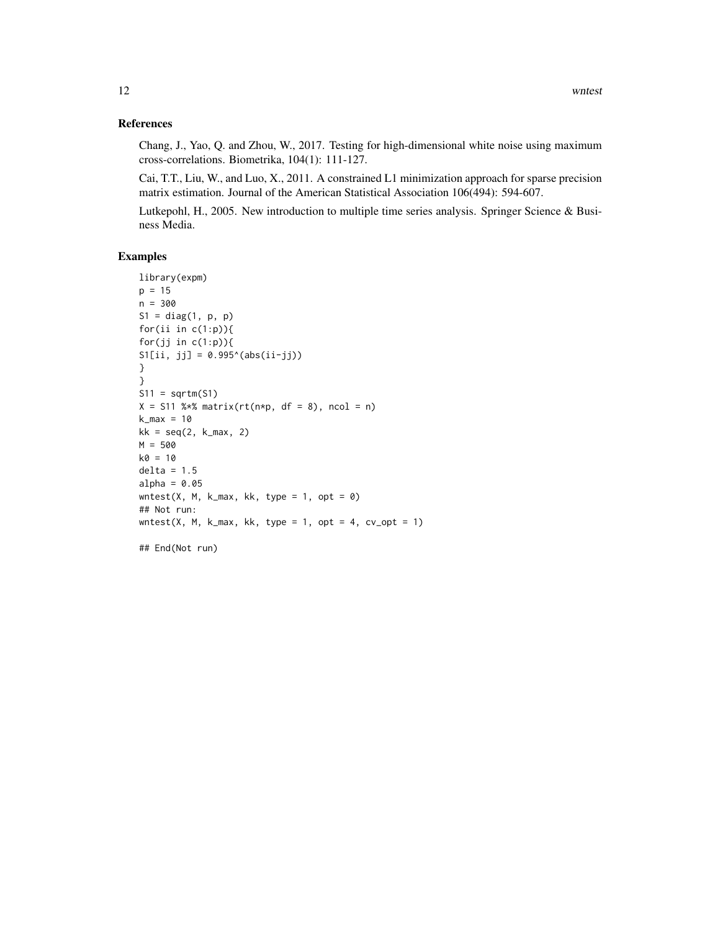#### References

Chang, J., Yao, Q. and Zhou, W., 2017. Testing for high-dimensional white noise using maximum cross-correlations. Biometrika, 104(1): 111-127.

Cai, T.T., Liu, W., and Luo, X., 2011. A constrained L1 minimization approach for sparse precision matrix estimation. Journal of the American Statistical Association 106(494): 594-607.

Lutkepohl, H., 2005. New introduction to multiple time series analysis. Springer Science & Business Media.

#### Examples

```
library(expm)
p = 15n = 300
S1 = diag(1, p, p)for(ii in c(1:p)){
for(jj in c(1:p)){
S1[i, jj] = 0.995^(abs(ii-jj))}
}
S11 = sqrtm(S1)X = S11 %*% matrix(rt(n*p, df = 8), ncol = n)
k_max = 10kk = seq(2, k_max, 2)M = 500k0 = 10delta = 1.5alpha = 0.05wntest(X, M, k_max, kk, type = 1, opt = \theta)
## Not run:
wntest(X, M, k_max, kk, type = 1, opt = 4, cv\_opt = 1)
## End(Not run)
```